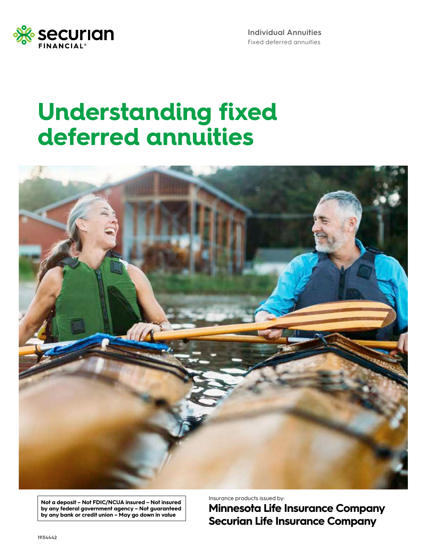

**Individual Annuities**  Fixed deferred annuities

### **Understanding fixed deferred annuities**



**Not a deposit – Not FDIC/NCUA insured – Not insured by any federal government agency – Not guaranteed by any bank or credit union – May go down in value**

Insurance products issued by:

**Minnesota Life Insurance Company Securian Life Insurance Company**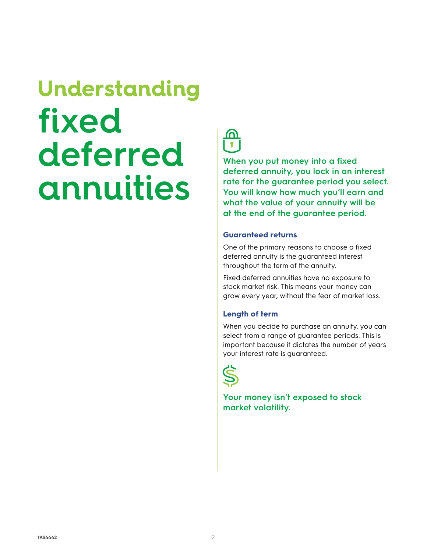# **Understanding fixed deferred annuities**



**When you put money into a fixed deferred annuity, you lock in an interest rate for the guarantee period you select. You will know how much you'll earn and what the value of your annuity will be at the end of the guarantee period.**

#### **Guaranteed returns**

One of the primary reasons to choose a fixed deferred annuity is the guaranteed interest throughout the term of the annuity.

Fixed deferred annuities have no exposure to stock market risk. This means your money can grow every year, without the fear of market loss.

#### **Length of term**

When you decide to purchase an annuity, you can select from a range of guarantee periods. This is important because it dictates the number of years your interest rate is guaranteed.



**Your money isn't exposed to stock market volatility.**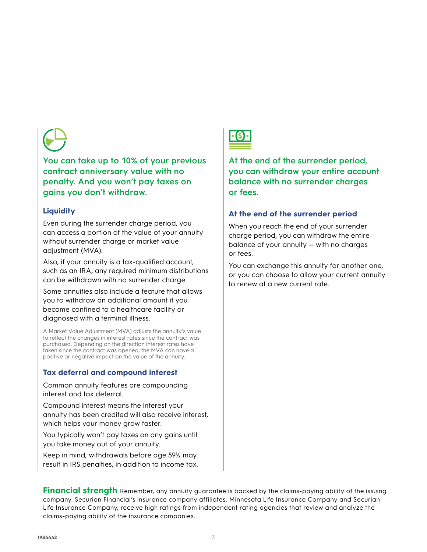

**You can take up to 10% of your previous contract anniversary value with no penalty. And you won't pay taxes on gains you don't withdraw.**

#### **Liquidity**

Even during the surrender charge period, you can access a portion of the value of your annuity without surrender charge or market value adjustment (MVA).

Also, if your annuity is a tax-qualified account, such as an IRA, any required minimum distributions can be withdrawn with no surrender charge.

Some annuities also include a feature that allows you to withdraw an additional amount if you become confined to a healthcare facility or diagnosed with a terminal illness.

A Market Value Adjustment (MVA) adjusts the annuity's value to reflect the changes in interest rates since the contract was purchased. Depending on the direction interest rates have taken since the contract was opened, the MVA can have a positive or negative impact on the value of the annuity.

#### **Tax deferral and compound interest**

Common annuity features are compounding interest and tax deferral.

Compound interest means the interest your annuity has been credited will also receive interest, which helps your money grow faster.

You typically won't pay taxes on any gains until you take money out of your annuity.

Keep in mind, withdrawals before age 59½ may result in IRS penalties, in addition to income tax.



**At the end of the surrender period, you can withdraw your entire account balance with no surrender charges or fees.**

#### **At the end of the surrender period**

When you reach the end of your surrender charge period, you can withdraw the entire balance of your annuity — with no charges or fees.

You can exchange this annuity for another one, or you can choose to allow your current annuity to renew at a new current rate.

**Financial strength** Remember, any annuity guarantee is backed by the claims-paying ability of the issuing company. Securian Financial's insurance company affiliates, Minnesota Life Insurance Company and Securian Life Insurance Company, receive high ratings from independent rating agencies that review and analyze the claims-paying ability of the insurance companies.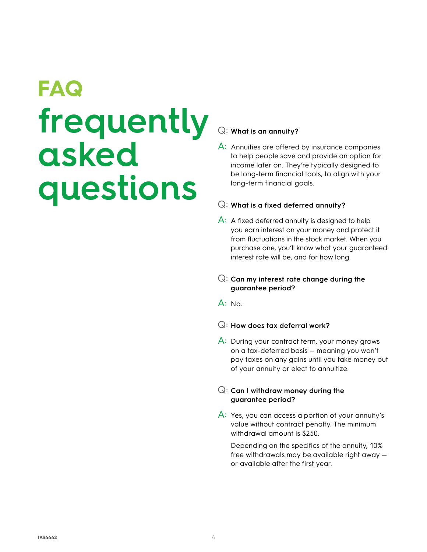# **FAQ frequently asked questions**

### Q: **What is an annuity?**

A: Annuities are offered by insurance companies to help people save and provide an option for income later on. They're typically designed to be long-term financial tools, to align with your long-term financial goals.

#### Q: **What is a fixed deferred annuity?**

 $\overline{A}$ : A fixed deferred annuity is designed to help you earn interest on your money and protect it from fluctuations in the stock market. When you purchase one, you'll know what your guaranteed interest rate will be, and for how long.

#### Q: **Can my interest rate change during the guarantee period?**

 $A: No.$ 

#### Q: **How does tax deferral work?**

A: During your contract term, your money grows on a tax-deferred basis — meaning you won't pay taxes on any gains until you take money out of your annuity or elect to annuitize.

#### Q: **Can I withdraw money during the guarantee period?**

A: Yes, you can access a portion of your annuity's value without contract penalty. The minimum withdrawal amount is \$250.

 Depending on the specifics of the annuity, 10% free withdrawals may be available right away or available after the first year.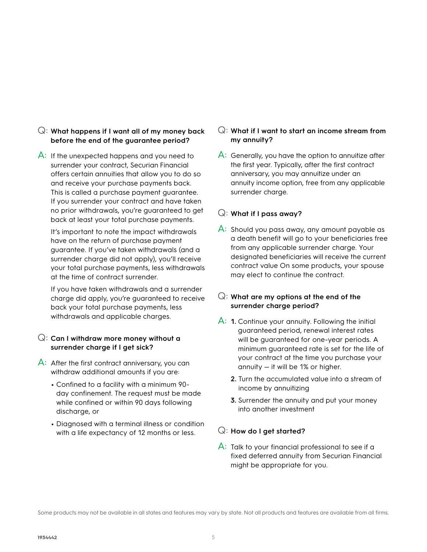#### Q: **What happens if I want all of my money back before the end of the guarantee period?**

A: If the unexpected happens and you need to surrender your contract, Securian Financial offers certain annuities that allow you to do so and receive your purchase payments back. This is called a purchase payment guarantee. If you surrender your contract and have taken no prior withdrawals, you're guaranteed to get back at least your total purchase payments.

 It's important to note the impact withdrawals have on the return of purchase payment guarantee. If you've taken withdrawals (and a surrender charge did not apply), you'll receive your total purchase payments, less withdrawals at the time of contract surrender.

 If you have taken withdrawals and a surrender charge did apply, you're guaranteed to receive back your total purchase payments, less withdrawals and applicable charges.

#### Q: **Can I withdraw more money without a surrender charge if I get sick?**

- A: After the first contract anniversary, you can withdraw additional amounts if you are:
	- **•** Confined to a facility with a minimum 90 day confinement. The request must be made while confined or within 90 days following discharge, or
	- **•** Diagnosed with a terminal illness or condition with a life expectancy of 12 months or less.

#### Q: **What if I want to start an income stream from my annuity?**

 $\overline{A}$ : Generally, you have the option to annuitize after the first year. Typically, after the first contract anniversary, you may annuitize under an annuity income option, free from any applicable surrender charge.

#### Q: **What if I pass away?**

A: Should you pass away, any amount payable as a death benefit will go to your beneficiaries free from any applicable surrender charge. Your designated beneficiaries will receive the current contract value On some products, your spouse may elect to continue the contract.

#### Q: **What are my options at the end of the surrender charge period?**

- A: **1.** Continue your annuity. Following the initial guaranteed period, renewal interest rates will be guaranteed for one-year periods. A minimum guaranteed rate is set for the life of your contract at the time you purchase your annuity — it will be 1% or higher.
	- **2.** Turn the accumulated value into a stream of income by annuitizing
	- **3.** Surrender the annuity and put your money into another investment

#### Q: **How do I get started?**

A: Talk to your financial professional to see if a fixed deferred annuity from Securian Financial might be appropriate for you.

Some products may not be available in all states and features may vary by state. Not all products and features are available from all firms.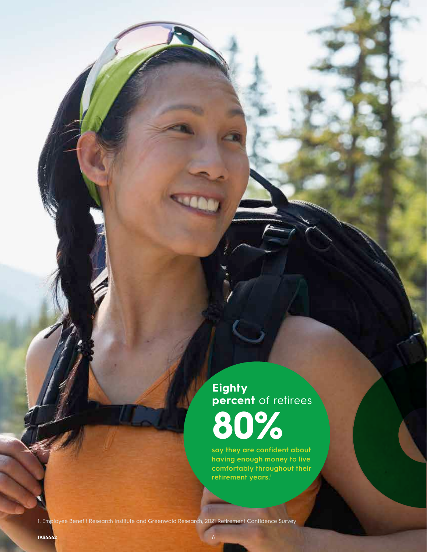**Eighty percent** of retirees **80%**

**say they are confident about having enough money to live comfortably throughout their**  retirement years.<sup>1</sup>

1. Employee Benefit Research Institute and Greenwald Research, 2021 Retirement Confidence Survey

6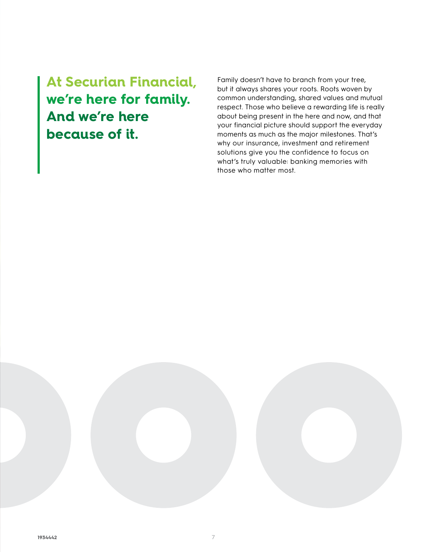**At Securian Financial, we're here for family. And we're here because of it.**

Family doesn't have to branch from your tree, but it always shares your roots. Roots woven by common understanding, shared values and mutual respect. Those who believe a rewarding life is really about being present in the here and now, and that your financial picture should support the everyday moments as much as the major milestones. That's why our insurance, investment and retirement solutions give you the confidence to focus on what's truly valuable: banking memories with those who matter most.